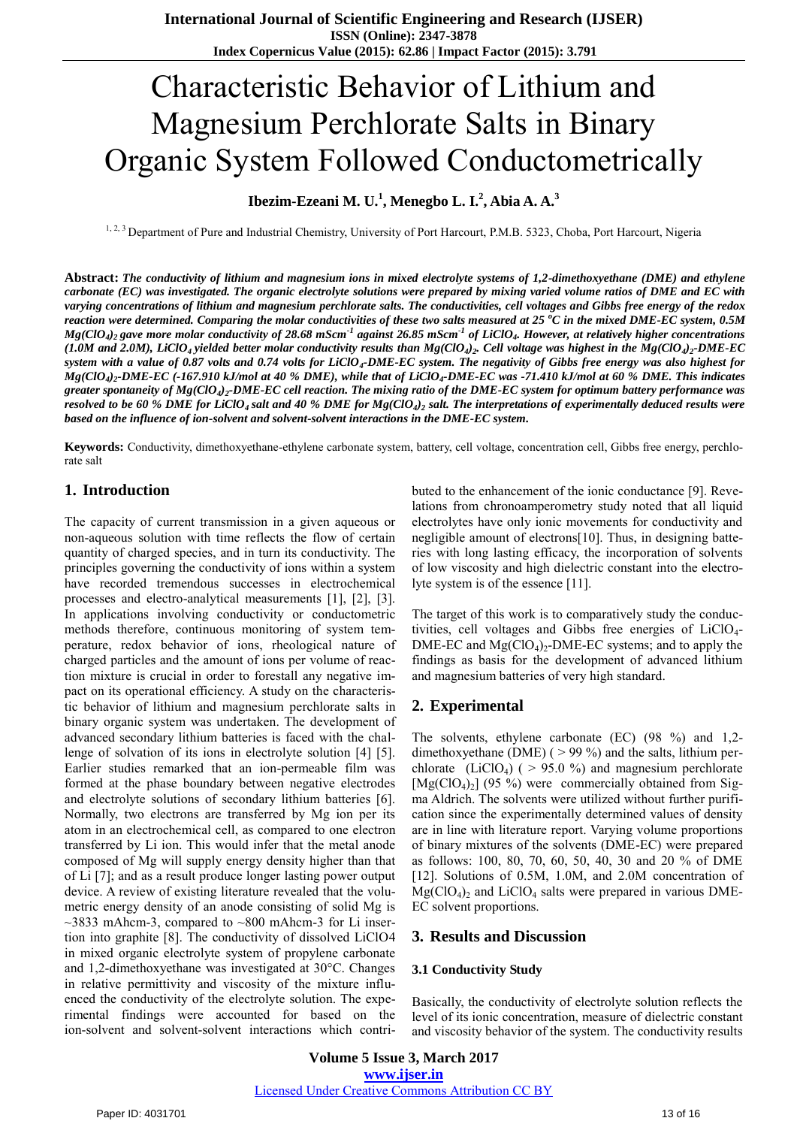# Characteristic Behavior of Lithium and Magnesium Perchlorate Salts in Binary Organic System Followed Conductometrically

**Ibezim-Ezeani M. U.<sup>1</sup> , Menegbo L. I.<sup>2</sup> , Abia A. A.<sup>3</sup>**

1, 2, 3 Department of Pure and Industrial Chemistry, University of Port Harcourt, P.M.B. 5323, Choba, Port Harcourt, Nigeria

**Abstract:** *The conductivity of lithium and magnesium ions in mixed electrolyte systems of 1,2-dimethoxyethane (DME) and ethylene carbonate (EC) was investigated. The organic electrolyte solutions were prepared by mixing varied volume ratios of DME and EC with varying concentrations of lithium and magnesium perchlorate salts. The conductivities, cell voltages and Gibbs free energy of the redox reaction were determined. Comparing the molar conductivities of these two salts measured at 25 <sup>o</sup>C in the mixed DME-EC system, 0.5M Mg(ClO<sup>4</sup> )2 gave more molar conductivity of 28.68 mScm-1 against 26.85 mScm-1 of LiClO<sup>4</sup> . However, at relatively higher concentrations*  (1.0M and 2.0M), LiClO<sub>4</sub> yielded better molar conductivity results than Mg(ClO<sub>4</sub>)<sub>2</sub>. Cell voltage was highest in the Mg(ClO<sub>4</sub>)<sub>2</sub>-DME-EC *system with a value of 0.87 volts and 0.74 volts for LiClO<sup>4</sup> -DME-EC system. The negativity of Gibbs free energy was also highest for Mg(ClO<sup>4</sup> )2 -DME-EC (-167.910 kJ/mol at 40 % DME), while that of LiClO<sup>4</sup> -DME-EC was -71.410 kJ/mol at 60 % DME. This indicates greater spontaneity of Mg(ClO<sup>4</sup> )2 -DME-EC cell reaction. The mixing ratio of the DME-EC system for optimum battery performance was resolved to be 60 % DME for LiClO4 salt and 40 % DME for Mg(ClO<sup>4</sup> )2 salt. The interpretations of experimentally deduced results were based on the influence of ion-solvent and solvent-solvent interactions in the DME-EC system.* 

**Keywords:** Conductivity, dimethoxyethane-ethylene carbonate system, battery, cell voltage, concentration cell, Gibbs free energy, perchlorate salt

## **1. Introduction**

The capacity of current transmission in a given aqueous or non-aqueous solution with time reflects the flow of certain quantity of charged species, and in turn its conductivity. The principles governing the conductivity of ions within a system have recorded tremendous successes in electrochemical processes and electro-analytical measurements [1], [2], [3]. In applications involving conductivity or conductometric methods therefore, continuous monitoring of system temperature, redox behavior of ions, rheological nature of charged particles and the amount of ions per volume of reaction mixture is crucial in order to forestall any negative impact on its operational efficiency. A study on the characteristic behavior of lithium and magnesium perchlorate salts in binary organic system was undertaken. The development of advanced secondary lithium batteries is faced with the challenge of solvation of its ions in electrolyte solution [4] [5]. Earlier studies remarked that an ion-permeable film was formed at the phase boundary between negative electrodes and electrolyte solutions of secondary lithium batteries [6]. Normally, two electrons are transferred by Mg ion per its atom in an electrochemical cell, as compared to one electron transferred by Li ion. This would infer that the metal anode composed of Mg will supply energy density higher than that of Li [7]; and as a result produce longer lasting power output device. A review of existing literature revealed that the volumetric energy density of an anode consisting of solid Mg is  $\sim$ 3833 mAhcm-3, compared to  $\sim$ 800 mAhcm-3 for Li insertion into graphite [8]. The conductivity of dissolved LiClO4 in mixed organic electrolyte system of propylene carbonate and 1,2‐dimethoxyethane was investigated at 30°C. Changes in relative permittivity and viscosity of the mixture influenced the conductivity of the electrolyte solution. The experimental findings were accounted for based on the ion-solvent and solvent-solvent interactions which contributed to the enhancement of the ionic conductance [9]. Revelations from chronoamperometry study noted that all liquid electrolytes have only ionic movements for conductivity and negligible amount of electrons[10]. Thus, in designing batteries with long lasting efficacy, the incorporation of solvents of low viscosity and high dielectric constant into the electrolyte system is of the essence [11].

The target of this work is to comparatively study the conductivities, cell voltages and Gibbs free energies of  $LiClO<sub>4</sub>$ -DME-EC and  $Mg(CIO<sub>4</sub>)<sub>2</sub>$ -DME-EC systems; and to apply the findings as basis for the development of advanced lithium and magnesium batteries of very high standard.

# **2. Experimental**

The solvents, ethylene carbonate (EC) (98 %) and 1,2 dimethoxyethane (DME) ( > 99 %) and the salts, lithium perchlorate (LiClO<sub>4</sub>) ( $> 95.0$  %) and magnesium perchlorate  $[Mg(CIO_4)_2]$  (95 %) were commercially obtained from Sigma Aldrich. The solvents were utilized without further purification since the experimentally determined values of density are in line with literature report. Varying volume proportions of binary mixtures of the solvents (DME-EC) were prepared as follows: 100, 80, 70, 60, 50, 40, 30 and 20 % of DME [12]. Solutions of 0.5M, 1.0M, and 2.0M concentration of  $Mg(CIO<sub>4</sub>)<sub>2</sub>$  and LiClO<sub>4</sub> salts were prepared in various DME-EC solvent proportions.

## **3. Results and Discussion**

#### **3.1 Conductivity Study**

Basically, the conductivity of electrolyte solution reflects the level of its ionic concentration, measure of dielectric constant and viscosity behavior of the system. The conductivity results

**Volume 5 Issue 3, March 2017 www.ijser.in** Licensed Under Creative Commons Attribution CC BY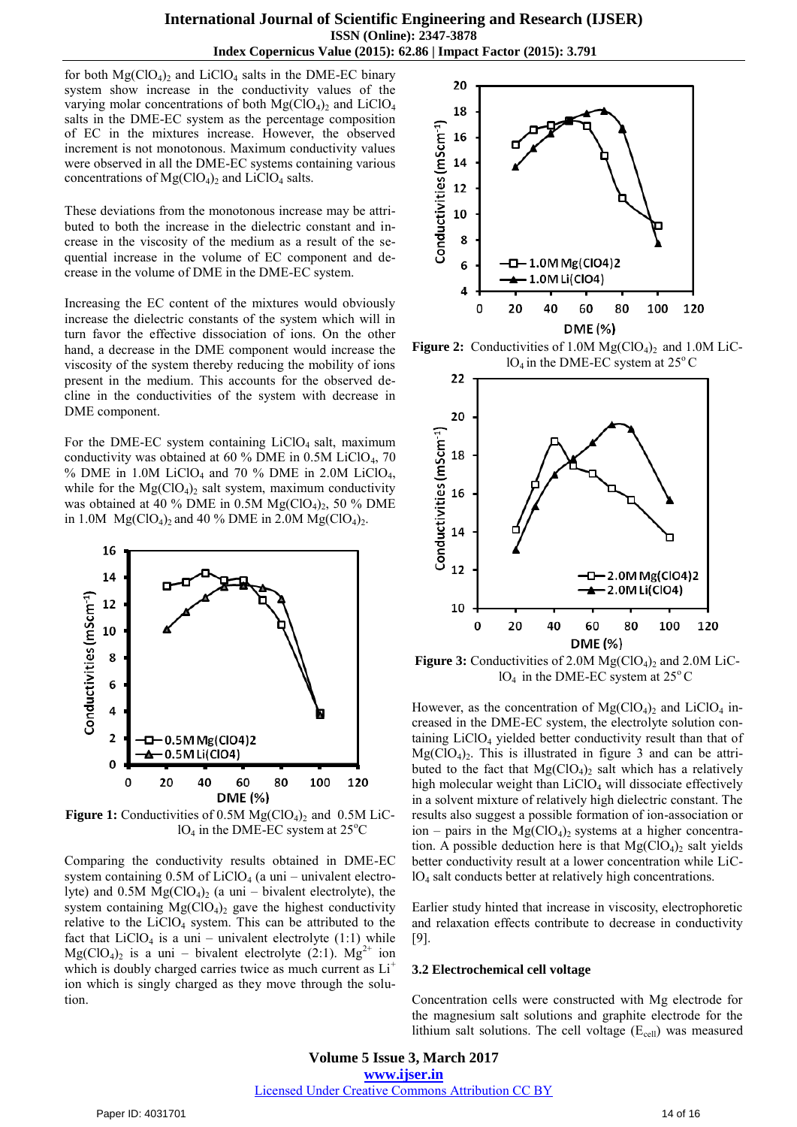for both  $Mg(CIO<sub>4</sub>)<sub>2</sub>$  and LiClO<sub>4</sub> salts in the DME-EC binary system show increase in the conductivity values of the varying molar concentrations of both  $Mg(CIO<sub>4</sub>)<sub>2</sub>$  and LiClO<sub>4</sub> salts in the DME-EC system as the percentage composition of EC in the mixtures increase. However, the observed increment is not monotonous. Maximum conductivity values were observed in all the DME-EC systems containing various concentrations of  $Mg(CIO<sub>4</sub>)<sub>2</sub>$  and LiClO<sub>4</sub> salts.

These deviations from the monotonous increase may be attributed to both the increase in the dielectric constant and increase in the viscosity of the medium as a result of the sequential increase in the volume of EC component and decrease in the volume of DME in the DME-EC system.

Increasing the EC content of the mixtures would obviously increase the dielectric constants of the system which will in turn favor the effective dissociation of ions. On the other hand, a decrease in the DME component would increase the viscosity of the system thereby reducing the mobility of ions present in the medium. This accounts for the observed decline in the conductivities of the system with decrease in DME component.

For the DME-EC system containing  $LiClO<sub>4</sub>$  salt, maximum conductivity was obtained at  $60\%$  DME in  $0.5M$  LiClO<sub>4</sub>, 70 % DME in 1.0M LiClO<sub>4</sub> and 70 % DME in 2.0M LiClO<sub>4</sub>, while for the  $Mg(CIO<sub>4</sub>)<sub>2</sub>$  salt system, maximum conductivity was obtained at 40 % DME in 0.5M  $Mg(CIO<sub>4</sub>)<sub>2</sub>$ , 50 % DME in 1.0M  $Mg(CIO_4)_2$  and 40 % DME in 2.0M  $Mg(CIO_4)_2$ .



**Figure 1:** Conductivities of  $0.5M \text{ Mg}(\text{ClO}_4)_{2}$  and  $0.5M \text{ LiC}$ - $1O<sub>4</sub>$  in the DME-EC system at  $25^{\circ}$ C

Comparing the conductivity results obtained in DME-EC system containing  $0.5M$  of LiClO<sub>4</sub> (a uni – univalent electrolyte) and  $0.5M \text{ Mg}(ClO<sub>4</sub>)<sub>2</sub>$  (a uni – bivalent electrolyte), the system containing  $Mg(CIO<sub>4</sub>)<sub>2</sub>$  gave the highest conductivity relative to the  $LiClO<sub>4</sub>$  system. This can be attributed to the fact that  $LiClO<sub>4</sub>$  is a uni – univalent electrolyte (1:1) while  $Mg(CIO<sub>4</sub>)<sub>2</sub>$  is a uni – bivalent electrolyte (2:1).  $Mg<sup>2+</sup>$  ion which is doubly charged carries twice as much current as  $Li^+$ ion which is singly charged as they move through the solution.



**Figure 2:** Conductivities of 1.0M  $Mg(CIO<sub>4</sub>)$ <sub>2</sub> and 1.0M LiC- $1O_4$  in the DME-EC system at 25 $\degree$ C



**Figure 3:** Conductivities of 2.0M  $Mg(CIO<sub>4</sub>)$ <sub>2</sub> and 2.0M LiC- $1O_4$  in the DME-EC system at  $25^{\circ}$ C

However, as the concentration of  $Mg(CIO<sub>4</sub>)<sub>2</sub>$  and LiClO<sub>4</sub> increased in the DME-EC system, the electrolyte solution containing LiClO<sub>4</sub> yielded better conductivity result than that of  $Mg(CIO<sub>4</sub>)<sub>2</sub>$ . This is illustrated in figure 3 and can be attributed to the fact that  $Mg(CIO<sub>4</sub>)<sub>2</sub>$  salt which has a relatively high molecular weight than  $LiClO<sub>4</sub>$  will dissociate effectively in a solvent mixture of relatively high dielectric constant. The results also suggest a possible formation of ion-association or ion – pairs in the  $Mg(CIO<sub>4</sub>)<sub>2</sub>$  systems at a higher concentration. A possible deduction here is that  $Mg(CIO<sub>4</sub>)<sub>2</sub>$  salt yields better conductivity result at a lower concentration while LiClO4 salt conducts better at relatively high concentrations.

Earlier study hinted that increase in viscosity, electrophoretic and relaxation effects contribute to decrease in conductivity [9].

#### **3.2 Electrochemical cell voltage**

Concentration cells were constructed with Mg electrode for the magnesium salt solutions and graphite electrode for the lithium salt solutions. The cell voltage  $(E_{cell})$  was measured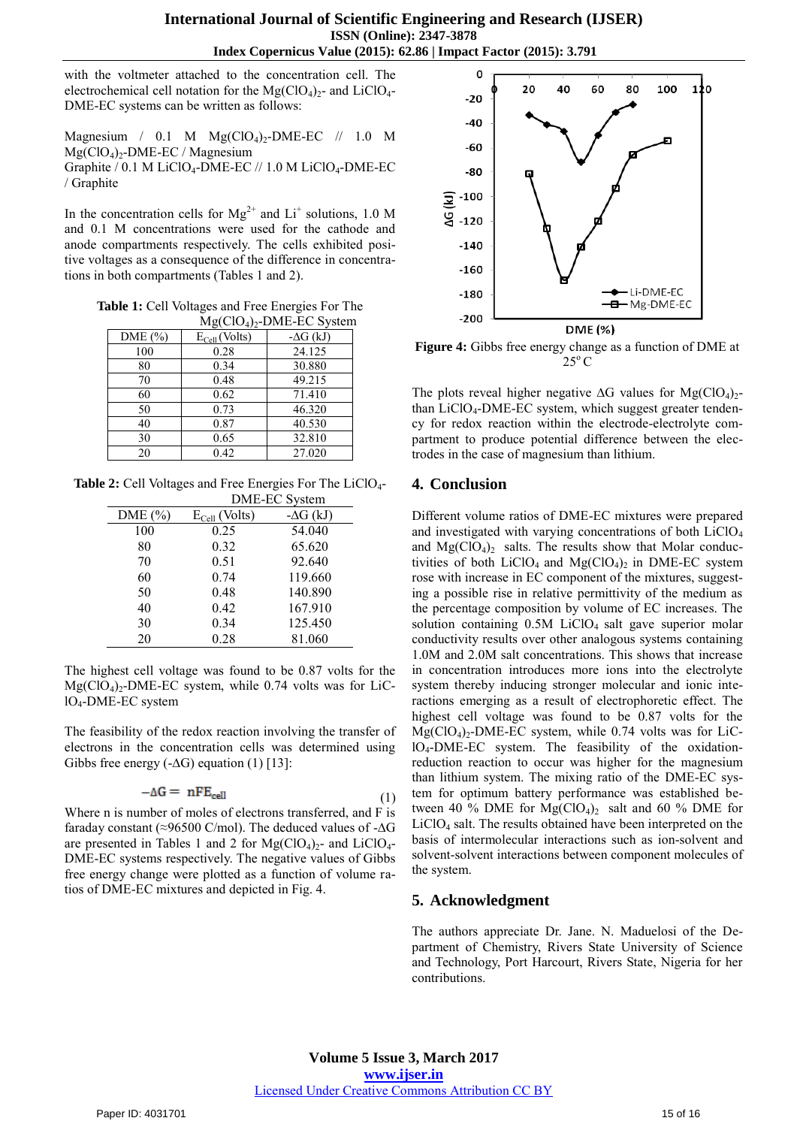with the voltmeter attached to the concentration cell. The electrochemical cell notation for the  $Mg(CIO<sub>4</sub>)<sub>2</sub>$ - and LiClO<sub>4</sub>-DME-EC systems can be written as follows:

Magnesium / 0.1 M  $Mg(CIO<sub>4</sub>)<sub>2</sub>$ -DME-EC // 1.0 M  $Mg(CIO<sub>4</sub>)<sub>2</sub>$ -DME-EC / Magnesium Graphite / 0.1 M LiClO<sub>4</sub>-DME-EC // 1.0 M LiClO<sub>4</sub>-DME-EC / Graphite

In the concentration cells for  $Mg^{2+}$  and  $Li^+$  solutions, 1.0 M and 0.1 M concentrations were used for the cathode and anode compartments respectively. The cells exhibited positive voltages as a consequence of the difference in concentrations in both compartments (Tables 1 and 2).

**Table 1:** Cell Voltages and Free Energies For The  $M_{\alpha}(C) \cap M$ E EC System

| $\frac{1}{1}$ |                    |                  |
|---------------|--------------------|------------------|
| DME (%)       | $E_{Cell}$ (Volts) | $-\Delta G$ (kJ) |
| 100           | 0.28               | 24.125           |
| 80            | 0.34               | 30.880           |
| 70            | 0.48               | 49.215           |
| 60            | 0.62               | 71.410           |
| 50            | 0.73               | 46.320           |
| 40            | 0.87               | 40.530           |
| 30            | 0.65               | 32.810           |
| 20            | 0.42               | 27.020           |

**Table 2:** Cell Voltages and Free Energies For The LiClO4-

|             |                    | DME-EC System    |
|-------------|--------------------|------------------|
| DME $(\% )$ | $E_{Cell}$ (Volts) | $-\Delta G$ (kJ) |
| 100         | 0.25               | 54.040           |
| 80          | 0.32               | 65.620           |
| 70          | 0.51               | 92.640           |
| 60          | 0.74               | 119.660          |
| 50          | 0.48               | 140.890          |
| 40          | 0.42               | 167.910          |
| 30          | 0.34               | 125.450          |
| 20          | 0.28               | 81.060           |

The highest cell voltage was found to be 0.87 volts for the  $Mg(CIO<sub>4</sub>)<sub>2</sub>$ -DME-EC system, while 0.74 volts was for LiClO4-DME-EC system

The feasibility of the redox reaction involving the transfer of electrons in the concentration cells was determined using Gibbs free energy  $(-\Delta G)$  equation (1) [13]:

$$
-\Delta G = nFE_{cell} \tag{1}
$$

Where n is number of moles of electrons transferred, and F is faraday constant (≈96500 C/mol). The deduced values of -∆G are presented in Tables 1 and 2 for  $Mg(CIO<sub>4</sub>)<sub>2</sub>$ - and LiClO<sub>4</sub>-DME-EC systems respectively. The negative values of Gibbs free energy change were plotted as a function of volume ratios of DME-EC mixtures and depicted in Fig. 4.



**Figure 4:** Gibbs free energy change as a function of DME at  $25^{\circ}$ C

The plots reveal higher negative  $\Delta G$  values for Mg(ClO<sub>4</sub>)<sub>2</sub>than LiClO4-DME-EC system, which suggest greater tendency for redox reaction within the electrode-electrolyte compartment to produce potential difference between the electrodes in the case of magnesium than lithium.

## **4. Conclusion**

Different volume ratios of DME-EC mixtures were prepared and investigated with varying concentrations of both LiClO<sub>4</sub> and  $Mg(CIO<sub>4</sub>)<sub>2</sub>$  salts. The results show that Molar conductivities of both LiClO<sub>4</sub> and Mg(ClO<sub>4</sub>)<sub>2</sub> in DME-EC system rose with increase in EC component of the mixtures, suggesting a possible rise in relative permittivity of the medium as the percentage composition by volume of EC increases. The solution containing  $0.5M$  LiClO<sub>4</sub> salt gave superior molar conductivity results over other analogous systems containing 1.0M and 2.0M salt concentrations. This shows that increase in concentration introduces more ions into the electrolyte system thereby inducing stronger molecular and ionic interactions emerging as a result of electrophoretic effect. The highest cell voltage was found to be 0.87 volts for the  $Mg(CIO<sub>4</sub>)<sub>2</sub>$ -DME-EC system, while 0.74 volts was for LiC- $IO<sub>4</sub>-DME-EC$  system. The feasibility of the oxidationreduction reaction to occur was higher for the magnesium than lithium system. The mixing ratio of the DME-EC system for optimum battery performance was established between 40 % DME for  $Mg(CIO<sub>4</sub>)<sub>2</sub>$  salt and 60 % DME for LiClO4 salt. The results obtained have been interpreted on the basis of intermolecular interactions such as ion-solvent and solvent-solvent interactions between component molecules of the system.

# **5. Acknowledgment**

The authors appreciate Dr. Jane. N. Maduelosi of the Department of Chemistry, Rivers State University of Science and Technology, Port Harcourt, Rivers State, Nigeria for her contributions.